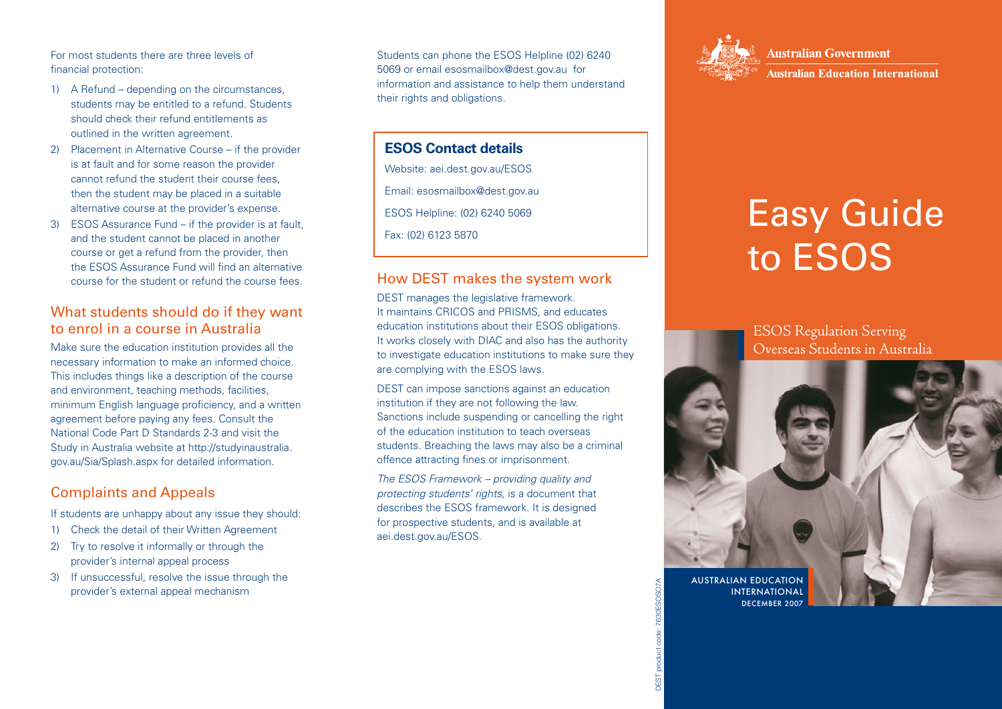For most students there are three levels of financial protection:

- 1) A Refund depending on the circumstances, students may be entitled to a refund. Students should check their refund entitlements as outlined in the written agreement.
- 2) Placement in Alternative Course if the provider is at fault and for some reason the provider cannot refund the student their course fees, then the student may be placed in a suitable alternative course at the provider's expense.
- 3) ESOS Assurance Fund if the provider is at fault, and the student cannot be placed in another course or get a refund from the provider, then the ESOS Assurance Fund will find an alternative course for the student or refund the course fees.

#### What students should do if they want to enrol in a course in Australia

Make sure the education institution provides all the necessary information to make an informed choice. This includes things like a description of the course and environment, teaching methods, facilities, minimum English language proficiency, and a written agreement before paying any fees. Consult the National Code Part D Standards 2-3 and visit the Study in Australia website at http://studyinaustralia. gov.au/Sia/Splash.aspx for detailed information.

## Complaints and Appeals

If students are unhappy about any issue they should:

- 1) Check the detail of their Written Agreement
- 2) Try to resolve it informally or through the provider's internal appeal process
- 3) If unsuccessful, resolve the issue through the provider's external appeal mechanism

Students can phone the ESOS Helpline (02) 6240 5069 or email esosmailbox@dest.gov.au for information and assistance to help them understand their rights and obligations.

## **ESOS Contact details**

Website: aei.dest.gov.au/ESOS

Email: esosmailbox@dest.gov.au

ESOS Helpline: (02) 6240 5069

Fax: (02) 6123 5870

#### How DEST makes the system work

DEST manages the legislative framework. It maintains CRICOS and PRISMS, and educates education institutions about their ESOS obligations. It works closely with DIAC and also has the authority to investigate education institutions to make sure they are complying with the ESOS laws.

DEST can impose sanctions against an education institution if they are not following the law. Sanctions include suspending or cancelling the right of the education institution to teach overseas students. Breaching the laws may also be a criminal offence attracting fines or imprisonment.

*The ESOS Framework – providing quality and protecting students' rights*, is a document that describes the ESOS framework. It is designed for prospective students, and is available at aei.dest.gov.au/ESOS.



DEST product code: 7630ESOSO7A

**Australian Government** 

**Australian Education International** 

# Easy Guide to ESOS

ESOS Regulation Serving Overseas Students in Australia